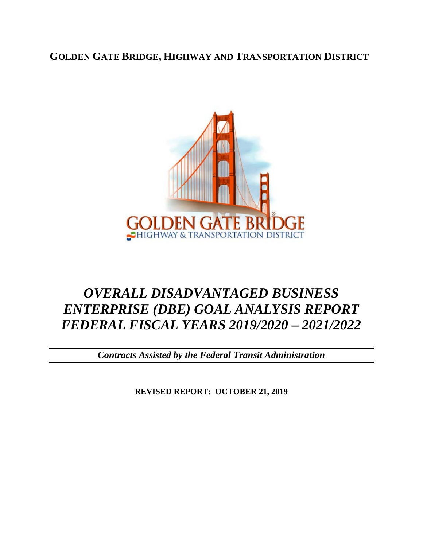# **GOLDEN GATE BRIDGE, HIGHWAY AND TRANSPORTATION DISTRICT**



# *OVERALL DISADVANTAGED BUSINESS ENTERPRISE (DBE) GOAL ANALYSIS REPORT FEDERAL FISCAL YEARS 2019/2020 – 2021/2022*

*Contracts Assisted by the Federal Transit Administration*

**REVISED REPORT: OCTOBER 21, 2019**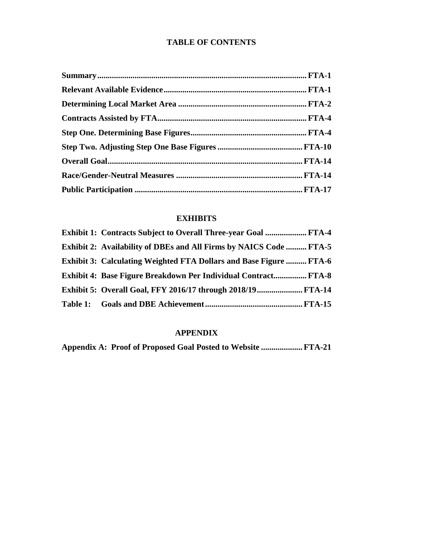#### **TABLE OF CONTENTS**

### **EXHIBITS**

| <b>Exhibit 1: Contracts Subject to Overall Three-year Goal  FTA-4</b>     |  |
|---------------------------------------------------------------------------|--|
| <b>Exhibit 2: Availability of DBEs and All Firms by NAICS Code  FTA-5</b> |  |
| <b>Exhibit 3: Calculating Weighted FTA Dollars and Base Figure  FTA-6</b> |  |
| Exhibit 4: Base Figure Breakdown Per Individual Contract FTA-8            |  |
| Exhibit 5: Overall Goal, FFY 2016/17 through 2018/19 FTA-14               |  |
|                                                                           |  |

## **APPENDIX**

**Appendix A: Proof of Proposed Goal Posted to Website .................... FTA-21**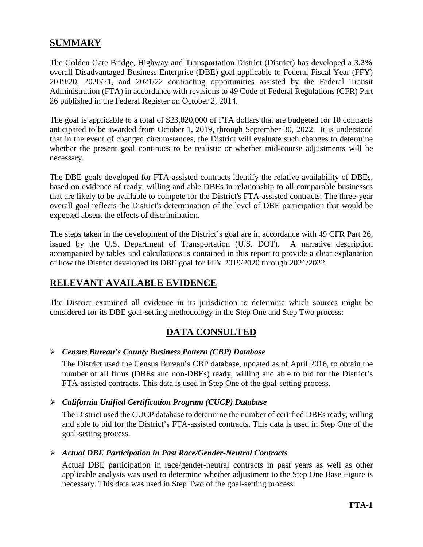## **SUMMARY**

The Golden Gate Bridge, Highway and Transportation District (District) has developed a **3.2%** overall Disadvantaged Business Enterprise (DBE) goal applicable to Federal Fiscal Year (FFY) 2019/20, 2020/21, and 2021/22 contracting opportunities assisted by the Federal Transit Administration (FTA) in accordance with revisions to 49 Code of Federal Regulations (CFR) Part 26 published in the Federal Register on October 2, 2014.

The goal is applicable to a total of \$23,020,000 of FTA dollars that are budgeted for 10 contracts anticipated to be awarded from October 1, 2019, through September 30, 2022. It is understood that in the event of changed circumstances, the District will evaluate such changes to determine whether the present goal continues to be realistic or whether mid-course adjustments will be necessary.

The DBE goals developed for FTA-assisted contracts identify the relative availability of DBEs, based on evidence of ready, willing and able DBEs in relationship to all comparable businesses that are likely to be available to compete for the District's FTA-assisted contracts. The three-year overall goal reflects the District's determination of the level of DBE participation that would be expected absent the effects of discrimination.

The steps taken in the development of the District's goal are in accordance with 49 CFR Part 26, issued by the U.S. Department of Transportation (U.S. DOT). A narrative description accompanied by tables and calculations is contained in this report to provide a clear explanation of how the District developed its DBE goal for FFY 2019/2020 through 2021/2022.

## **RELEVANT AVAILABLE EVIDENCE**

The District examined all evidence in its jurisdiction to determine which sources might be considered for its DBE goal-setting methodology in the Step One and Step Two process:

## **DATA CONSULTED**

#### *Census Bureau's County Business Pattern (CBP) Database*

The District used the Census Bureau's CBP database, updated as of April 2016, to obtain the number of all firms (DBEs and non-DBEs) ready, willing and able to bid for the District's FTA-assisted contracts. This data is used in Step One of the goal-setting process.

### *California Unified Certification Program (CUCP) Database*

The District used the CUCP database to determine the number of certified DBEs ready, willing and able to bid for the District's FTA-assisted contracts. This data is used in Step One of the goal-setting process.

#### *Actual DBE Participation in Past Race/Gender-Neutral Contracts*

Actual DBE participation in race/gender-neutral contracts in past years as well as other applicable analysis was used to determine whether adjustment to the Step One Base Figure is necessary. This data was used in Step Two of the goal-setting process.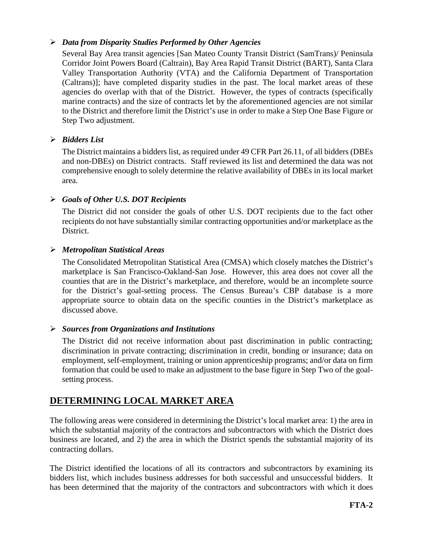#### *Data from Disparity Studies Performed by Other Agencies*

Several Bay Area transit agencies [San Mateo County Transit District (SamTrans)/ Peninsula Corridor Joint Powers Board (Caltrain), Bay Area Rapid Transit District (BART), Santa Clara Valley Transportation Authority (VTA) and the California Department of Transportation (Caltrans)]; have completed disparity studies in the past. The local market areas of these agencies do overlap with that of the District. However, the types of contracts (specifically marine contracts) and the size of contracts let by the aforementioned agencies are not similar to the District and therefore limit the District's use in order to make a Step One Base Figure or Step Two adjustment.

#### *Bidders List*

The District maintains a bidders list, as required under 49 CFR Part 26.11, of all bidders (DBEs and non-DBEs) on District contracts. Staff reviewed its list and determined the data was not comprehensive enough to solely determine the relative availability of DBEs in its local market area.

#### *Goals of Other U.S. DOT Recipients*

The District did not consider the goals of other U.S. DOT recipients due to the fact other recipients do not have substantially similar contracting opportunities and/or marketplace as the District.

#### *Metropolitan Statistical Areas*

The Consolidated Metropolitan Statistical Area (CMSA) which closely matches the District's marketplace is San Francisco-Oakland-San Jose. However, this area does not cover all the counties that are in the District's marketplace, and therefore, would be an incomplete source for the District's goal-setting process. The Census Bureau's CBP database is a more appropriate source to obtain data on the specific counties in the District's marketplace as discussed above.

#### *Sources from Organizations and Institutions*

The District did not receive information about past discrimination in public contracting; discrimination in private contracting; discrimination in credit, bonding or insurance; data on employment, self-employment, training or union apprenticeship programs; and/or data on firm formation that could be used to make an adjustment to the base figure in Step Two of the goalsetting process.

## **DETERMINING LOCAL MARKET AREA**

The following areas were considered in determining the District's local market area: 1) the area in which the substantial majority of the contractors and subcontractors with which the District does business are located, and 2) the area in which the District spends the substantial majority of its contracting dollars.

The District identified the locations of all its contractors and subcontractors by examining its bidders list, which includes business addresses for both successful and unsuccessful bidders. It has been determined that the majority of the contractors and subcontractors with which it does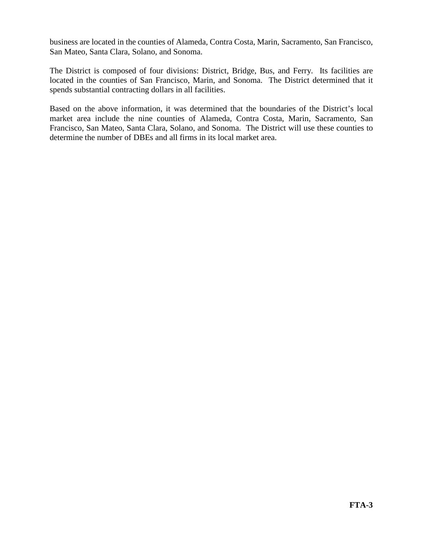business are located in the counties of Alameda, Contra Costa, Marin, Sacramento, San Francisco, San Mateo, Santa Clara, Solano, and Sonoma.

The District is composed of four divisions: District, Bridge, Bus, and Ferry. Its facilities are located in the counties of San Francisco, Marin, and Sonoma. The District determined that it spends substantial contracting dollars in all facilities.

Based on the above information, it was determined that the boundaries of the District's local market area include the nine counties of Alameda, Contra Costa, Marin, Sacramento, San Francisco, San Mateo, Santa Clara, Solano, and Sonoma. The District will use these counties to determine the number of DBEs and all firms in its local market area.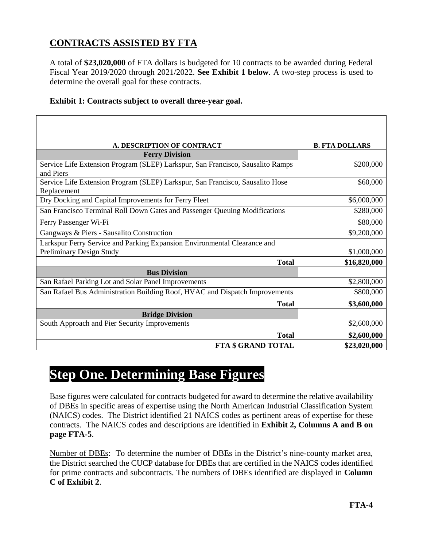# **CONTRACTS ASSISTED BY FTA**

A total of **\$23,020,000** of FTA dollars is budgeted for 10 contracts to be awarded during Federal Fiscal Year 2019/2020 through 2021/2022. **See Exhibit 1 below**. A two-step process is used to determine the overall goal for these contracts.

#### **Exhibit 1: Contracts subject to overall three-year goal.**

| <b>A. DESCRIPTION OF CONTRACT</b>                                                                    | <b>B. FTA DOLLARS</b> |
|------------------------------------------------------------------------------------------------------|-----------------------|
| <b>Ferry Division</b>                                                                                |                       |
| Service Life Extension Program (SLEP) Larkspur, San Francisco, Sausalito Ramps<br>and Piers          | \$200,000             |
| Service Life Extension Program (SLEP) Larkspur, San Francisco, Sausalito Hose<br>Replacement         | \$60,000              |
| Dry Docking and Capital Improvements for Ferry Fleet                                                 | \$6,000,000           |
| San Francisco Terminal Roll Down Gates and Passenger Queuing Modifications                           | \$280,000             |
| Ferry Passenger Wi-Fi                                                                                | \$80,000              |
| Gangways & Piers - Sausalito Construction                                                            | \$9,200,000           |
| Larkspur Ferry Service and Parking Expansion Environmental Clearance and<br>Preliminary Design Study | \$1,000,000           |
| <b>Total</b>                                                                                         | \$16,820,000          |
| <b>Bus Division</b>                                                                                  |                       |
| San Rafael Parking Lot and Solar Panel Improvements                                                  | \$2,800,000           |
| San Rafael Bus Administration Building Roof, HVAC and Dispatch Improvements                          | \$800,000             |
| <b>Total</b>                                                                                         | \$3,600,000           |
| <b>Bridge Division</b>                                                                               |                       |
| South Approach and Pier Security Improvements                                                        | \$2,600,000           |
| <b>Total</b>                                                                                         | \$2,600,000           |
| <b>FTA \$ GRAND TOTAL</b>                                                                            | \$23,020,000          |

# **Step One. Determining Base Figures**

Base figures were calculated for contracts budgeted for award to determine the relative availability of DBEs in specific areas of expertise using the North American Industrial Classification System (NAICS) codes. The District identified 21 NAICS codes as pertinent areas of expertise for these contracts. The NAICS codes and descriptions are identified in **Exhibit 2, Columns A and B on page FTA-5**.

Number of DBEs: To determine the number of DBEs in the District's nine-county market area, the District searched the CUCP database for DBEs that are certified in the NAICS codes identified for prime contracts and subcontracts. The numbers of DBEs identified are displayed in **Column C of Exhibit 2**.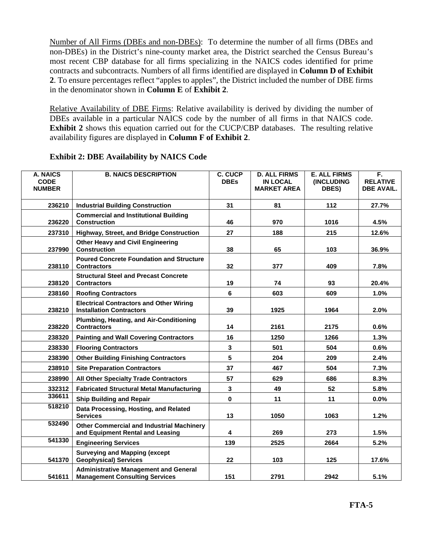Number of All Firms (DBEs and non-DBEs): To determine the number of all firms (DBEs and non-DBEs) in the District's nine-county market area, the District searched the Census Bureau's most recent CBP database for all firms specializing in the NAICS codes identified for prime contracts and subcontracts. Numbers of all firms identified are displayed in **Column D of Exhibit 2**. To ensure percentages reflect "apples to apples", the District included the number of DBE firms in the denominator shown in **Column E** of **Exhibit 2**.

Relative Availability of DBE Firms: Relative availability is derived by dividing the number of DBEs available in a particular NAICS code by the number of all firms in that NAICS code. **Exhibit 2** shows this equation carried out for the CUCP/CBP databases. The resulting relative availability figures are displayed in **Column F of Exhibit 2**.

| A. NAICS<br><b>CODE</b><br><b>NUMBER</b> | <b>B. NAICS DESCRIPTION</b>                                                           | <b>C. CUCP</b><br><b>DBEs</b> | <b>D. ALL FIRMS</b><br><b>IN LOCAL</b><br><b>MARKET AREA</b> | <b>E. ALL FIRMS</b><br>(INCLUDING<br>DBES) | F.<br><b>RELATIVE</b><br><b>DBE AVAIL.</b> |
|------------------------------------------|---------------------------------------------------------------------------------------|-------------------------------|--------------------------------------------------------------|--------------------------------------------|--------------------------------------------|
| 236210                                   | <b>Industrial Building Construction</b>                                               | 31                            | 81                                                           | 112                                        | 27.7%                                      |
| 236220                                   | <b>Commercial and Institutional Building</b><br><b>Construction</b>                   | 46                            | 970                                                          | 1016                                       | 4.5%                                       |
| 237310                                   | Highway, Street, and Bridge Construction                                              | 27                            | 188                                                          | 215                                        | 12.6%                                      |
| 237990                                   | <b>Other Heavy and Civil Engineering</b><br><b>Construction</b>                       | 38                            | 65                                                           | 103                                        | 36.9%                                      |
| 238110                                   | <b>Poured Concrete Foundation and Structure</b><br><b>Contractors</b>                 | 32                            | 377                                                          | 409                                        | 7.8%                                       |
| 238120                                   | <b>Structural Steel and Precast Concrete</b><br><b>Contractors</b>                    | 19                            | 74                                                           | 93                                         | 20.4%                                      |
| 238160                                   | <b>Roofing Contractors</b>                                                            | 6                             | 603                                                          | 609                                        | 1.0%                                       |
| 238210                                   | <b>Electrical Contractors and Other Wiring</b><br><b>Installation Contractors</b>     | 39                            | 1925                                                         | 1964                                       | 2.0%                                       |
| 238220                                   | Plumbing, Heating, and Air-Conditioning<br><b>Contractors</b>                         | 14                            | 2161                                                         | 2175                                       | 0.6%                                       |
| 238320                                   | <b>Painting and Wall Covering Contractors</b>                                         | 16                            | 1250                                                         | 1266                                       | 1.3%                                       |
| 238330                                   | <b>Flooring Contractors</b>                                                           | $\overline{\mathbf{3}}$       | 501                                                          | 504                                        | 0.6%                                       |
| 238390                                   | <b>Other Building Finishing Contractors</b>                                           | 5                             | 204                                                          | 209                                        | 2.4%                                       |
| 238910                                   | <b>Site Preparation Contractors</b>                                                   | 37                            | 467                                                          | 504                                        | 7.3%                                       |
| 238990                                   | <b>All Other Specialty Trade Contractors</b>                                          | 57                            | 629                                                          | 686                                        | 8.3%                                       |
| 332312                                   | <b>Fabricated Structural Metal Manufacturing</b>                                      | 3                             | 49                                                           | 52                                         | 5.8%                                       |
| 336611                                   | <b>Ship Building and Repair</b>                                                       | $\mathbf{0}$                  | 11                                                           | 11                                         | 0.0%                                       |
| 518210                                   | Data Processing, Hosting, and Related<br><b>Services</b>                              | 13                            | 1050                                                         | 1063                                       | 1.2%                                       |
| 532490                                   | <b>Other Commercial and Industrial Machinery</b><br>and Equipment Rental and Leasing  | 4                             | 269                                                          | 273                                        | 1.5%                                       |
| 541330                                   | <b>Engineering Services</b>                                                           | 139                           | 2525                                                         | 2664                                       | 5.2%                                       |
| 541370                                   | <b>Surveying and Mapping (except</b><br><b>Geophysical) Services</b>                  | 22                            | 103                                                          | 125                                        | 17.6%                                      |
| 541611                                   | <b>Administrative Management and General</b><br><b>Management Consulting Services</b> | 151                           | 2791                                                         | 2942                                       | 5.1%                                       |

#### **Exhibit 2: DBE Availability by NAICS Code**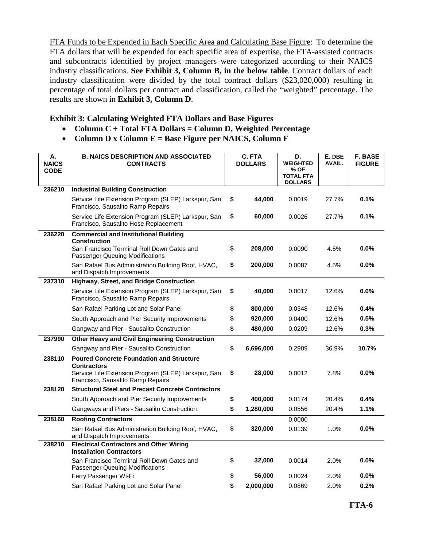FTA Funds to be Expended in Each Specific Area and Calculating Base Figure: To determine the FTA dollars that will be expended for each specific area of expertise, the FTA-assisted contracts and subcontracts identified by project managers were categorized according to their NAICS industry classifications. **See Exhibit 3, Column B, in the below table**. Contract dollars of each industry classification were divided by the total contract dollars (\$23,020,000) resulting in percentage of total dollars per contract and classification, called the "weighted" percentage. The results are shown in **Exhibit 3, Column D**.

#### **Exhibit 3: Calculating Weighted FTA Dollars and Base Figures**

- **Column C ÷ Total FTA Dollars = Column D, Weighted Percentage**
- **Column D x Column E = Base Figure per NAICS, Column F**

| А.<br><b>NAICS</b> | <b>B. NAICS DESCRIPTION AND ASSOCIATED</b><br><b>CONTRACTS</b>                               | C. FTA<br><b>DOLLARS</b> | D.<br><b>WEIGHTED</b>              | E. DBE<br>AVAIL. | <b>F. BASE</b><br><b>FIGURE</b> |
|--------------------|----------------------------------------------------------------------------------------------|--------------------------|------------------------------------|------------------|---------------------------------|
| <b>CODE</b>        |                                                                                              |                          | % OF                               |                  |                                 |
|                    |                                                                                              |                          | <b>TOTAL FTA</b><br><b>DOLLARS</b> |                  |                                 |
| 236210             | <b>Industrial Building Construction</b>                                                      |                          |                                    |                  |                                 |
|                    | Service Life Extension Program (SLEP) Larkspur, San<br>Francisco, Sausalito Ramp Repairs     | \$<br>44,000             | 0.0019                             | 27.7%            | 0.1%                            |
|                    | Service Life Extension Program (SLEP) Larkspur, San<br>Francisco, Sausalito Hose Replacement | \$<br>60,000             | 0.0026                             | 27.7%            | 0.1%                            |
| 236220             | <b>Commercial and Institutional Building</b><br><b>Construction</b>                          |                          |                                    |                  |                                 |
|                    | San Francisco Terminal Roll Down Gates and<br><b>Passenger Queuing Modifications</b>         | \$<br>208,000            | 0.0090                             | 4.5%             | $0.0\%$                         |
|                    | San Rafael Bus Administration Building Roof, HVAC,<br>and Dispatch Improvements              | \$<br>200,000            | 0.0087                             | 4.5%             | 0.0%                            |
| 237310             | Highway, Street, and Bridge Construction                                                     |                          |                                    |                  |                                 |
|                    | Service Life Extension Program (SLEP) Larkspur, San<br>Francisco, Sausalito Ramp Repairs     | \$<br>40,000             | 0.0017                             | 12.6%            | 0.0%                            |
|                    | San Rafael Parking Lot and Solar Panel                                                       | \$<br>800,000            | 0.0348                             | 12.6%            | 0.4%                            |
|                    | South Approach and Pier Security Improvements                                                | \$<br>920,000            | 0.0400                             | 12.6%            | 0.5%                            |
|                    | Gangway and Pier - Sausalito Construction                                                    | \$<br>480,000            | 0.0209                             | 12.6%            | 0.3%                            |
| 237990             | <b>Other Heavy and Civil Engineering Construction</b>                                        |                          |                                    |                  |                                 |
|                    | Gangway and Pier - Sausalito Construction                                                    | \$<br>6,696,000          | 0.2909                             | 36.9%            | 10.7%                           |
| 238110             | <b>Poured Concrete Foundation and Structure</b><br><b>Contractors</b>                        |                          |                                    |                  |                                 |
|                    | Service Life Extension Program (SLEP) Larkspur, San<br>Francisco, Sausalito Ramp Repairs     | \$<br>28,000             | 0.0012                             | 7.8%             | 0.0%                            |
| 238120             | <b>Structural Steel and Precast Concrete Contractors</b>                                     |                          |                                    |                  |                                 |
|                    | South Approach and Pier Security Improvements                                                | \$<br>400,000            | 0.0174                             | 20.4%            | 0.4%                            |
|                    | Gangways and Piers - Sausalito Construction                                                  | \$<br>1,280,000          | 0.0556                             | 20.4%            | 1.1%                            |
| 238160             | <b>Roofing Contractors</b>                                                                   |                          | 0.0000                             |                  |                                 |
|                    | San Rafael Bus Administration Building Roof, HVAC,<br>and Dispatch Improvements              | \$<br>320,000            | 0.0139                             | 1.0%             | 0.0%                            |
| 238210             | <b>Electrical Contractors and Other Wiring</b><br><b>Installation Contractors</b>            |                          |                                    |                  |                                 |
|                    | San Francisco Terminal Roll Down Gates and<br><b>Passenger Queuing Modifications</b>         | \$<br>32,000             | 0.0014                             | 2.0%             | 0.0%                            |
|                    | Ferry Passenger Wi-Fi                                                                        | \$<br>56,000             | 0.0024                             | 2.0%             | 0.0%                            |
|                    | San Rafael Parking Lot and Solar Panel                                                       | \$<br>2,000,000          | 0.0869                             | 2.0%             | 0.2%                            |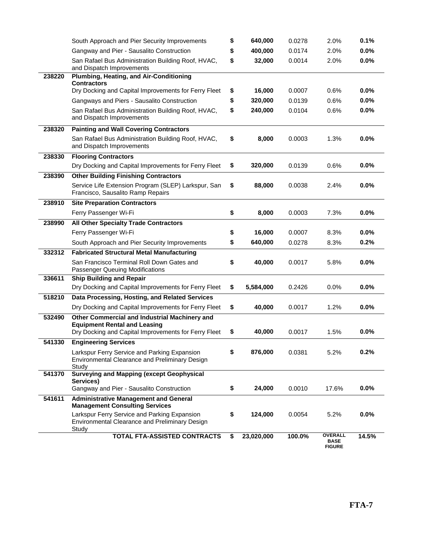|        | South Approach and Pier Security Improvements                                                                                                | \$<br>640,000    | 0.0278 | 2.0%                                           | 0.1%    |
|--------|----------------------------------------------------------------------------------------------------------------------------------------------|------------------|--------|------------------------------------------------|---------|
|        | Gangway and Pier - Sausalito Construction                                                                                                    | \$<br>400,000    | 0.0174 | 2.0%                                           | $0.0\%$ |
|        | San Rafael Bus Administration Building Roof, HVAC,<br>and Dispatch Improvements                                                              | \$<br>32,000     | 0.0014 | 2.0%                                           | 0.0%    |
| 238220 | <b>Plumbing, Heating, and Air-Conditioning</b><br><b>Contractors</b>                                                                         |                  |        |                                                |         |
|        | Dry Docking and Capital Improvements for Ferry Fleet                                                                                         | \$<br>16,000     | 0.0007 | 0.6%                                           | 0.0%    |
|        | Gangways and Piers - Sausalito Construction                                                                                                  | \$<br>320,000    | 0.0139 | 0.6%                                           | 0.0%    |
|        | San Rafael Bus Administration Building Roof, HVAC,<br>and Dispatch Improvements                                                              | \$<br>240,000    | 0.0104 | 0.6%                                           | 0.0%    |
| 238320 | <b>Painting and Wall Covering Contractors</b>                                                                                                |                  |        |                                                |         |
|        | San Rafael Bus Administration Building Roof, HVAC,<br>and Dispatch Improvements                                                              | \$<br>8,000      | 0.0003 | 1.3%                                           | 0.0%    |
| 238330 | <b>Flooring Contractors</b>                                                                                                                  |                  |        |                                                |         |
|        | Dry Docking and Capital Improvements for Ferry Fleet                                                                                         | \$<br>320,000    | 0.0139 | 0.6%                                           | 0.0%    |
| 238390 | <b>Other Building Finishing Contractors</b>                                                                                                  |                  |        |                                                |         |
|        | Service Life Extension Program (SLEP) Larkspur, San<br>Francisco, Sausalito Ramp Repairs                                                     | \$<br>88,000     | 0.0038 | 2.4%                                           | 0.0%    |
| 238910 | <b>Site Preparation Contractors</b>                                                                                                          |                  |        |                                                |         |
|        | Ferry Passenger Wi-Fi                                                                                                                        | \$<br>8,000      | 0.0003 | 7.3%                                           | 0.0%    |
| 238990 | <b>All Other Specialty Trade Contractors</b>                                                                                                 |                  |        |                                                |         |
|        | Ferry Passenger Wi-Fi                                                                                                                        | \$<br>16,000     | 0.0007 | 8.3%                                           | 0.0%    |
|        | South Approach and Pier Security Improvements                                                                                                | \$<br>640,000    | 0.0278 | 8.3%                                           | 0.2%    |
| 332312 | <b>Fabricated Structural Metal Manufacturing</b>                                                                                             |                  |        |                                                |         |
|        | San Francisco Terminal Roll Down Gates and<br><b>Passenger Queuing Modifications</b>                                                         | \$<br>40,000     | 0.0017 | 5.8%                                           | 0.0%    |
| 336611 | <b>Ship Building and Repair</b>                                                                                                              |                  |        |                                                |         |
|        | Dry Docking and Capital Improvements for Ferry Fleet                                                                                         | \$<br>5,584,000  | 0.2426 | 0.0%                                           | 0.0%    |
| 518210 | Data Processing, Hosting, and Related Services                                                                                               |                  |        |                                                |         |
|        | Dry Docking and Capital Improvements for Ferry Fleet                                                                                         | \$<br>40,000     | 0.0017 | 1.2%                                           | 0.0%    |
| 532490 | Other Commercial and Industrial Machinery and<br><b>Equipment Rental and Leasing</b><br>Dry Docking and Capital Improvements for Ferry Fleet | \$<br>40,000     | 0.0017 | 1.5%                                           | 0.0%    |
| 541330 | <b>Engineering Services</b>                                                                                                                  |                  |        |                                                |         |
|        | Larkspur Ferry Service and Parking Expansion<br>Environmental Clearance and Preliminary Design<br>Study                                      | \$<br>876,000    | 0.0381 | 5.2%                                           | 0.2%    |
| 541370 | <b>Surveying and Mapping (except Geophysical</b><br>Services)                                                                                |                  |        |                                                |         |
|        | Gangway and Pier - Sausalito Construction                                                                                                    | \$<br>24,000     | 0.0010 | 17.6%                                          | 0.0%    |
| 541611 | <b>Administrative Management and General</b><br><b>Management Consulting Services</b>                                                        |                  |        |                                                |         |
|        | Larkspur Ferry Service and Parking Expansion<br>Environmental Clearance and Preliminary Design<br>Study                                      | \$<br>124,000    | 0.0054 | 5.2%                                           | $0.0\%$ |
|        | TOTAL FTA-ASSISTED CONTRACTS                                                                                                                 | \$<br>23,020,000 | 100.0% | <b>OVERALL</b><br><b>BASE</b><br><b>FIGURE</b> | 14.5%   |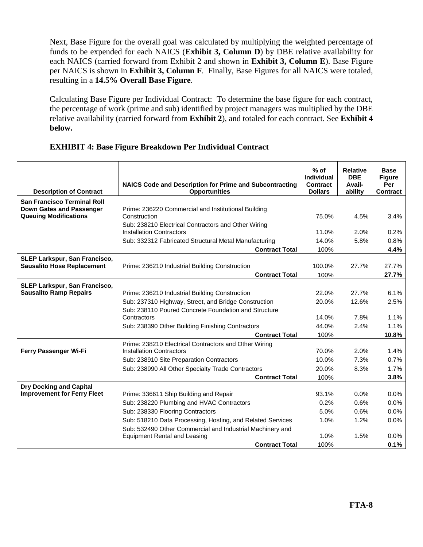Next, Base Figure for the overall goal was calculated by multiplying the weighted percentage of funds to be expended for each NAICS (**Exhibit 3, Column D**) by DBE relative availability for each NAICS (carried forward from Exhibit 2 and shown in **Exhibit 3, Column E**). Base Figure per NAICS is shown in **Exhibit 3, Column F**. Finally, Base Figures for all NAICS were totaled, resulting in a **14.5% Overall Base Figure**.

Calculating Base Figure per Individual Contract: To determine the base figure for each contract, the percentage of work (prime and sub) identified by project managers was multiplied by the DBE relative availability (carried forward from **Exhibit 2**), and totaled for each contract. See **Exhibit 4 below.**

#### **EXHIBIT 4: Base Figure Breakdown Per Individual Contract**

| <b>Description of Contract</b>     | <b>NAICS Code and Description for Prime and Subcontracting</b><br><b>Opportunities</b> | $%$ of<br>Individual<br><b>Contract</b><br><b>Dollars</b> | <b>Relative</b><br><b>DBE</b><br>Avail-<br>ability | <b>Base</b><br><b>Figure</b><br>Per<br><b>Contract</b> |
|------------------------------------|----------------------------------------------------------------------------------------|-----------------------------------------------------------|----------------------------------------------------|--------------------------------------------------------|
| <b>San Francisco Terminal Roll</b> |                                                                                        |                                                           |                                                    |                                                        |
| <b>Down Gates and Passenger</b>    | Prime: 236220 Commercial and Institutional Building                                    |                                                           |                                                    |                                                        |
| <b>Queuing Modifications</b>       | Construction                                                                           | 75.0%                                                     | 4.5%                                               | 3.4%                                                   |
|                                    | Sub: 238210 Electrical Contractors and Other Wiring                                    |                                                           |                                                    |                                                        |
|                                    | <b>Installation Contractors</b>                                                        | 11.0%                                                     | 2.0%                                               | 0.2%                                                   |
|                                    | Sub: 332312 Fabricated Structural Metal Manufacturing                                  | 14.0%                                                     | 5.8%                                               | 0.8%                                                   |
|                                    | <b>Contract Total</b>                                                                  | 100%                                                      |                                                    | 4.4%                                                   |
| SLEP Larkspur, San Francisco,      |                                                                                        |                                                           |                                                    |                                                        |
| <b>Sausalito Hose Replacement</b>  | Prime: 236210 Industrial Building Construction                                         | 100.0%                                                    | 27.7%                                              | 27.7%                                                  |
|                                    | <b>Contract Total</b>                                                                  | 100%                                                      |                                                    | 27.7%                                                  |
| SLEP Larkspur, San Francisco,      |                                                                                        |                                                           |                                                    |                                                        |
| <b>Sausalito Ramp Repairs</b>      | Prime: 236210 Industrial Building Construction                                         | 22.0%                                                     | 27.7%                                              | 6.1%                                                   |
|                                    | Sub: 237310 Highway, Street, and Bridge Construction                                   | 20.0%                                                     | 12.6%                                              | 2.5%                                                   |
|                                    | Sub: 238110 Poured Concrete Foundation and Structure                                   |                                                           |                                                    |                                                        |
|                                    | Contractors                                                                            | 14.0%                                                     | 7.8%                                               | 1.1%                                                   |
|                                    | Sub: 238390 Other Building Finishing Contractors                                       | 44.0%                                                     | 2.4%                                               | 1.1%                                                   |
|                                    | <b>Contract Total</b>                                                                  | 100%                                                      |                                                    | 10.8%                                                  |
|                                    | Prime: 238210 Electrical Contractors and Other Wiring                                  |                                                           |                                                    |                                                        |
| Ferry Passenger Wi-Fi              | <b>Installation Contractors</b>                                                        | 70.0%                                                     | 2.0%                                               | 1.4%                                                   |
|                                    | Sub: 238910 Site Preparation Contractors                                               | 10.0%                                                     | 7.3%                                               | 0.7%                                                   |
|                                    | Sub: 238990 All Other Specialty Trade Contractors                                      | 20.0%                                                     | 8.3%                                               | 1.7%                                                   |
|                                    | <b>Contract Total</b>                                                                  | 100%                                                      |                                                    | 3.8%                                                   |
| <b>Dry Docking and Capital</b>     |                                                                                        |                                                           |                                                    |                                                        |
| <b>Improvement for Ferry Fleet</b> | Prime: 336611 Ship Building and Repair                                                 | 93.1%                                                     | 0.0%                                               | 0.0%                                                   |
|                                    | Sub: 238220 Plumbing and HVAC Contractors                                              | 0.2%                                                      | 0.6%                                               | 0.0%                                                   |
|                                    | Sub: 238330 Flooring Contractors                                                       | 5.0%                                                      | 0.6%                                               | 0.0%                                                   |
|                                    | Sub: 518210 Data Processing, Hosting, and Related Services                             | 1.0%                                                      | 1.2%                                               | 0.0%                                                   |
|                                    | Sub: 532490 Other Commercial and Industrial Machinery and                              |                                                           |                                                    |                                                        |
|                                    | <b>Equipment Rental and Leasing</b>                                                    | 1.0%                                                      | 1.5%                                               | 0.0%                                                   |
|                                    | <b>Contract Total</b>                                                                  | 100%                                                      |                                                    | 0.1%                                                   |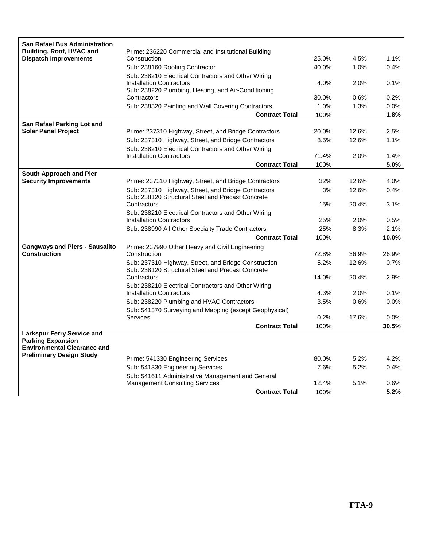| <b>San Rafael Bus Administration</b>  |                                                                                        |       |       |         |
|---------------------------------------|----------------------------------------------------------------------------------------|-------|-------|---------|
| Building, Roof, HVAC and              | Prime: 236220 Commercial and Institutional Building                                    |       |       |         |
| <b>Dispatch Improvements</b>          | Construction                                                                           | 25.0% | 4.5%  | 1.1%    |
|                                       | Sub: 238160 Roofing Contractor                                                         | 40.0% | 1.0%  | 0.4%    |
|                                       | Sub: 238210 Electrical Contractors and Other Wiring                                    |       |       |         |
|                                       | <b>Installation Contractors</b>                                                        | 4.0%  | 2.0%  | 0.1%    |
|                                       | Sub: 238220 Plumbing, Heating, and Air-Conditioning<br>Contractors                     | 30.0% | 0.6%  | 0.2%    |
|                                       | Sub: 238320 Painting and Wall Covering Contractors                                     | 1.0%  | 1.3%  | $0.0\%$ |
|                                       | <b>Contract Total</b>                                                                  | 100%  |       | 1.8%    |
| San Rafael Parking Lot and            |                                                                                        |       |       |         |
| <b>Solar Panel Project</b>            | Prime: 237310 Highway, Street, and Bridge Contractors                                  | 20.0% | 12.6% | 2.5%    |
|                                       | Sub: 237310 Highway, Street, and Bridge Contractors                                    | 8.5%  | 12.6% | 1.1%    |
|                                       | Sub: 238210 Electrical Contractors and Other Wiring                                    |       |       |         |
|                                       | <b>Installation Contractors</b>                                                        | 71.4% | 2.0%  | 1.4%    |
|                                       | <b>Contract Total</b>                                                                  | 100%  |       | 5.0%    |
| South Approach and Pier               |                                                                                        |       |       |         |
| <b>Security Improvements</b>          | Prime: 237310 Highway, Street, and Bridge Contractors                                  | 32%   | 12.6% | 4.0%    |
|                                       | Sub: 237310 Highway, Street, and Bridge Contractors                                    | 3%    | 12.6% | 0.4%    |
|                                       | Sub: 238120 Structural Steel and Precast Concrete                                      |       |       |         |
|                                       | Contractors                                                                            | 15%   | 20.4% | 3.1%    |
|                                       | Sub: 238210 Electrical Contractors and Other Wiring<br><b>Installation Contractors</b> | 25%   | 2.0%  | 0.5%    |
|                                       | Sub: 238990 All Other Specialty Trade Contractors                                      | 25%   | 8.3%  | 2.1%    |
|                                       | <b>Contract Total</b>                                                                  | 100%  |       | 10.0%   |
| <b>Gangways and Piers - Sausalito</b> | Prime: 237990 Other Heavy and Civil Engineering                                        |       |       |         |
| <b>Construction</b>                   | Construction                                                                           | 72.8% | 36.9% | 26.9%   |
|                                       | Sub: 237310 Highway, Street, and Bridge Construction                                   | 5.2%  | 12.6% | 0.7%    |
|                                       | Sub: 238120 Structural Steel and Precast Concrete                                      |       |       |         |
|                                       | Contractors                                                                            | 14.0% | 20.4% | 2.9%    |
|                                       | Sub: 238210 Electrical Contractors and Other Wiring                                    |       |       |         |
|                                       | <b>Installation Contractors</b>                                                        | 4.3%  | 2.0%  | 0.1%    |
|                                       | Sub: 238220 Plumbing and HVAC Contractors                                              | 3.5%  | 0.6%  | 0.0%    |
|                                       | Sub: 541370 Surveying and Mapping (except Geophysical)<br><b>Services</b>              |       |       |         |
|                                       |                                                                                        | 0.2%  | 17.6% | 0.0%    |
| <b>Larkspur Ferry Service and</b>     | <b>Contract Total</b>                                                                  | 100%  |       | 30.5%   |
| <b>Parking Expansion</b>              |                                                                                        |       |       |         |
| <b>Environmental Clearance and</b>    |                                                                                        |       |       |         |
| <b>Preliminary Design Study</b>       | Prime: 541330 Engineering Services                                                     | 80.0% | 5.2%  | 4.2%    |
|                                       | Sub: 541330 Engineering Services                                                       | 7.6%  | 5.2%  | 0.4%    |
|                                       | Sub: 541611 Administrative Management and General                                      |       |       |         |
|                                       | <b>Management Consulting Services</b>                                                  | 12.4% | 5.1%  | 0.6%    |
|                                       | <b>Contract Total</b>                                                                  | 100%  |       | 5.2%    |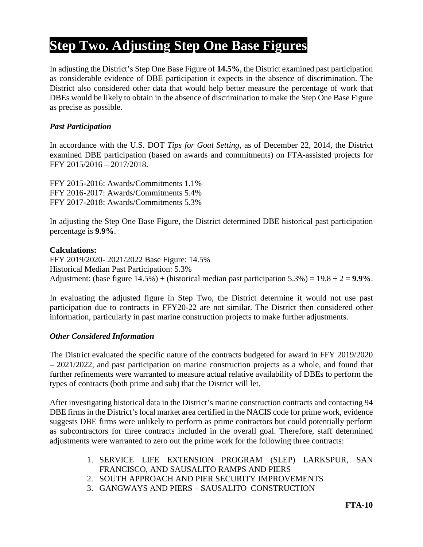# **Step Two. Adjusting Step One Base Figures**

In adjusting the District's Step One Base Figure of **14.5%**, the District examined past participation as considerable evidence of DBE participation it expects in the absence of discrimination. The District also considered other data that would help better measure the percentage of work that DBEs would be likely to obtain in the absence of discrimination to make the Step One Base Figure as precise as possible.

#### *Past Participation*

In accordance with the U.S. DOT *Tips for Goal Setting*, as of December 22, 2014, the District examined DBE participation (based on awards and commitments) on FTA-assisted projects for FFY 2015/2016 – 2017/2018.

FFY 2015-2016: Awards/Commitments 1.1% FFY 2016-2017: Awards/Commitments 5.4% FFY 2017-2018: Awards/Commitments 5.3%

In adjusting the Step One Base Figure, the District determined DBE historical past participation percentage is **9.9%**.

#### **Calculations:**

FFY 2019/2020- 2021/2022 Base Figure: 14.5% Historical Median Past Participation: 5.3% Adjustment: (base figure 14.5%) + (historical median past participation 5.3%) = 19.8 ÷ 2 = **9.9%**.

In evaluating the adjusted figure in Step Two, the District determine it would not use past participation due to contracts in FFY20-22 are not similar. The District then considered other information, particularly in past marine construction projects to make further adjustments.

#### *Other Considered Information*

The District evaluated the specific nature of the contracts budgeted for award in FFY 2019/2020 – 2021/2022, and past participation on marine construction projects as a whole, and found that further refinements were warranted to measure actual relative availability of DBEs to perform the types of contracts (both prime and sub) that the District will let.

After investigating historical data in the District's marine construction contracts and contacting 94 DBE firms in the District's local market area certified in the NACIS code for prime work, evidence suggests DBE firms were unlikely to perform as prime contractors but could potentially perform as subcontractors for three contracts included in the overall goal. Therefore, staff determined adjustments were warranted to zero out the prime work for the following three contracts:

- 1. SERVICE LIFE EXTENSION PROGRAM (SLEP) LARKSPUR, SAN FRANCISCO, AND SAUSALITO RAMPS AND PIERS
- 2. SOUTH APPROACH AND PIER SECURITY IMPROVEMENTS
- 3. GANGWAYS AND PIERS SAUSALITO CONSTRUCTION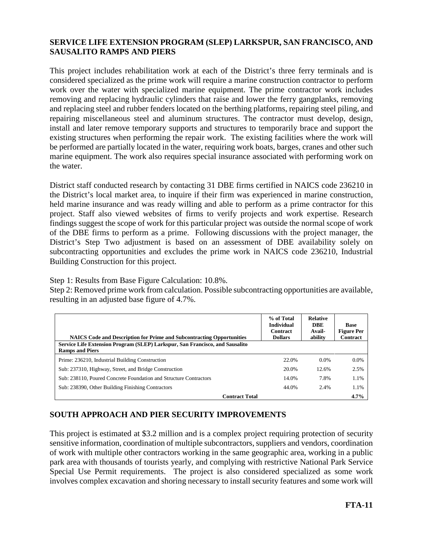#### **SERVICE LIFE EXTENSION PROGRAM (SLEP) LARKSPUR, SAN FRANCISCO, AND SAUSALITO RAMPS AND PIERS**

This project includes rehabilitation work at each of the District's three ferry terminals and is considered specialized as the prime work will require a marine construction contractor to perform work over the water with specialized marine equipment. The prime contractor work includes removing and replacing hydraulic cylinders that raise and lower the ferry gangplanks, removing and replacing steel and rubber fenders located on the berthing platforms, repairing steel piling, and repairing miscellaneous steel and aluminum structures. The contractor must develop, design, install and later remove temporary supports and structures to temporarily brace and support the existing structures when performing the repair work. The existing facilities where the work will be performed are partially located in the water, requiring work boats, barges, cranes and other such marine equipment. The work also requires special insurance associated with performing work on the water.

District staff conducted research by contacting 31 DBE firms certified in NAICS code 236210 in the District's local market area, to inquire if their firm was experienced in marine construction, held marine insurance and was ready willing and able to perform as a prime contractor for this project. Staff also viewed websites of firms to verify projects and work expertise. Research findings suggest the scope of work for this particular project was outside the normal scope of work of the DBE firms to perform as a prime. Following discussions with the project manager, the District's Step Two adjustment is based on an assessment of DBE availability solely on subcontracting opportunities and excludes the prime work in NAICS code 236210, Industrial Building Construction for this project.

Step 1: Results from Base Figure Calculation: 10.8%.

Step 2: Removed prime work from calculation. Possible subcontracting opportunities are available, resulting in an adjusted base figure of 4.7%.

| <b>NAICS</b> Code and Description for Prime and Subcontracting Opportunities                           | % of Total<br><b>Individual</b><br><b>Contract</b><br><b>Dollars</b> | <b>Relative</b><br>DBE<br>Avail-<br>ability | <b>Base</b><br><b>Figure Per</b><br><b>Contract</b> |
|--------------------------------------------------------------------------------------------------------|----------------------------------------------------------------------|---------------------------------------------|-----------------------------------------------------|
| Service Life Extension Program (SLEP) Larkspur, San Francisco, and Sausalito<br><b>Ramps and Piers</b> |                                                                      |                                             |                                                     |
| Prime: 236210, Industrial Building Construction                                                        | 22.0%                                                                | $0.0\%$                                     | 0.0%                                                |
| Sub: 237310, Highway, Street, and Bridge Construction                                                  | 20.0%                                                                | 12.6%                                       | 2.5%                                                |
| Sub: 238110, Poured Concrete Foundation and Structure Contractors                                      | 14.0%                                                                | 7.8%                                        | 1.1%                                                |
| Sub: 238390, Other Building Finishing Contractors                                                      | 44.0%                                                                | 2.4%                                        | 1.1%                                                |
| <b>Contract Total</b>                                                                                  |                                                                      |                                             | 4.7%                                                |

#### **SOUTH APPROACH AND PIER SECURITY IMPROVEMENTS**

This project is estimated at \$3.2 million and is a complex project requiring protection of security sensitive information, coordination of multiple subcontractors, suppliers and vendors, coordination of work with multiple other contractors working in the same geographic area, working in a public park area with thousands of tourists yearly, and complying with restrictive National Park Service Special Use Permit requirements. The project is also considered specialized as some work involves complex excavation and shoring necessary to install security features and some work will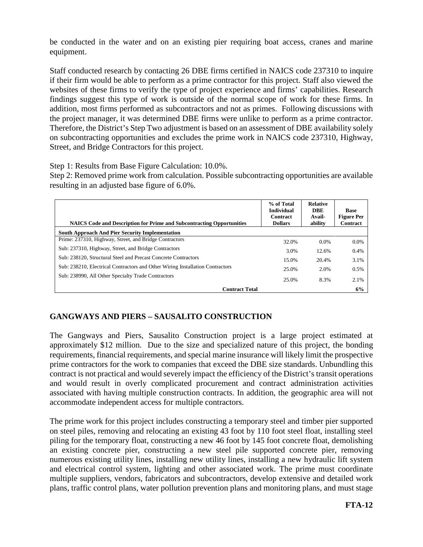be conducted in the water and on an existing pier requiring boat access, cranes and marine equipment.

Staff conducted research by contacting 26 DBE firms certified in NAICS code 237310 to inquire if their firm would be able to perform as a prime contractor for this project. Staff also viewed the websites of these firms to verify the type of project experience and firms' capabilities. Research findings suggest this type of work is outside of the normal scope of work for these firms. In addition, most firms performed as subcontractors and not as primes. Following discussions with the project manager, it was determined DBE firms were unlike to perform as a prime contractor. Therefore, the District's Step Two adjustment is based on an assessment of DBE availability solely on subcontracting opportunities and excludes the prime work in NAICS code 237310, Highway, Street, and Bridge Contractors for this project.

Step 1: Results from Base Figure Calculation: 10.0%.

Step 2: Removed prime work from calculation. Possible subcontracting opportunities are available resulting in an adjusted base figure of 6.0%.

| <b>NAICS</b> Code and Description for Prime and Subcontracting Opportunities  | % of Total<br><b>Individual</b><br><b>Contract</b><br><b>Dollars</b> | <b>Relative</b><br>DBE<br>Avail-<br>ability | <b>Base</b><br><b>Figure Per</b><br>Contract |
|-------------------------------------------------------------------------------|----------------------------------------------------------------------|---------------------------------------------|----------------------------------------------|
| <b>South Approach And Pier Security Implementation</b>                        |                                                                      |                                             |                                              |
| Prime: 237310, Highway, Street, and Bridge Contractors                        | 32.0%                                                                | $0.0\%$                                     | $0.0\%$                                      |
| Sub: 237310, Highway, Street, and Bridge Contractors                          | 3.0%                                                                 | 12.6%                                       | 0.4%                                         |
| Sub: 238120, Structural Steel and Precast Concrete Contractors                | 15.0%                                                                | 20.4%                                       | 3.1%                                         |
| Sub: 238210, Electrical Contractors and Other Wiring Installation Contractors | 25.0%                                                                | 2.0%                                        | 0.5%                                         |
| Sub: 238990, All Other Specialty Trade Contractors                            | 25.0%                                                                | 8.3%                                        | 2.1%                                         |
| <b>Contract Total</b>                                                         |                                                                      |                                             | 6%                                           |

### **GANGWAYS AND PIERS – SAUSALITO CONSTRUCTION**

The Gangways and Piers, Sausalito Construction project is a large project estimated at approximately \$12 million. Due to the size and specialized nature of this project, the bonding requirements, financial requirements, and special marine insurance will likely limit the prospective prime contractors for the work to companies that exceed the DBE size standards. Unbundling this contract is not practical and would severely impact the efficiency of the District's transit operations and would result in overly complicated procurement and contract administration activities associated with having multiple construction contracts. In addition, the geographic area will not accommodate independent access for multiple contractors.

The prime work for this project includes constructing a temporary steel and timber pier supported on steel piles, removing and relocating an existing 43 foot by 110 foot steel float, installing steel piling for the temporary float, constructing a new 46 foot by 145 foot concrete float, demolishing an existing concrete pier, constructing a new steel pile supported concrete pier, removing numerous existing utility lines, installing new utility lines, installing a new hydraulic lift system and electrical control system, lighting and other associated work. The prime must coordinate multiple suppliers, vendors, fabricators and subcontractors, develop extensive and detailed work plans, traffic control plans, water pollution prevention plans and monitoring plans, and must stage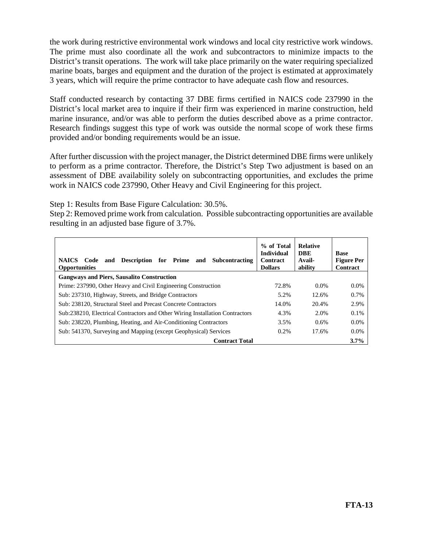the work during restrictive environmental work windows and local city restrictive work windows. The prime must also coordinate all the work and subcontractors to minimize impacts to the District's transit operations. The work will take place primarily on the water requiring specialized marine boats, barges and equipment and the duration of the project is estimated at approximately 3 years, which will require the prime contractor to have adequate cash flow and resources.

Staff conducted research by contacting 37 DBE firms certified in NAICS code 237990 in the District's local market area to inquire if their firm was experienced in marine construction, held marine insurance, and/or was able to perform the duties described above as a prime contractor. Research findings suggest this type of work was outside the normal scope of work these firms provided and/or bonding requirements would be an issue.

After further discussion with the project manager, the District determined DBE firms were unlikely to perform as a prime contractor. Therefore, the District's Step Two adjustment is based on an assessment of DBE availability solely on subcontracting opportunities, and excludes the prime work in NAICS code 237990, Other Heavy and Civil Engineering for this project.

Step 1: Results from Base Figure Calculation: 30.5%.

Step 2: Removed prime work from calculation. Possible subcontracting opportunities are available resulting in an adjusted base figure of 3.7%.

| and Description for Prime<br><b>NAICS</b> Code<br>Subcontracting<br>and<br><b>Opportunities</b> | % of Total<br><b>Individual</b><br><b>Contract</b><br><b>Dollars</b> | <b>Relative</b><br><b>DBE</b><br>Avail-<br>ability | <b>Base</b><br><b>Figure Per</b><br><b>Contract</b> |
|-------------------------------------------------------------------------------------------------|----------------------------------------------------------------------|----------------------------------------------------|-----------------------------------------------------|
| <b>Gangways and Piers, Sausalito Construction</b>                                               |                                                                      |                                                    |                                                     |
| Prime: 237990, Other Heavy and Civil Engineering Construction                                   | 72.8%                                                                | $0.0\%$                                            | $0.0\%$                                             |
| Sub: 237310, Highway, Streets, and Bridge Contractors                                           | 5.2%                                                                 | 12.6%                                              | 0.7%                                                |
| Sub: 238120, Structural Steel and Precast Concrete Contractors                                  | 14.0%                                                                | 20.4%                                              | 2.9%                                                |
| Sub:238210, Electrical Contractors and Other Wiring Installation Contractors                    | 4.3%                                                                 | 2.0%                                               | 0.1%                                                |
| Sub: 238220, Plumbing, Heating, and Air-Conditioning Contractors                                | 3.5%                                                                 | 0.6%                                               | $0.0\%$                                             |
| Sub: 541370, Surveying and Mapping (except Geophysical) Services                                | 0.2%                                                                 | 17.6%                                              | $0.0\%$                                             |
| <b>Contract Total</b>                                                                           |                                                                      |                                                    | $3.7\%$                                             |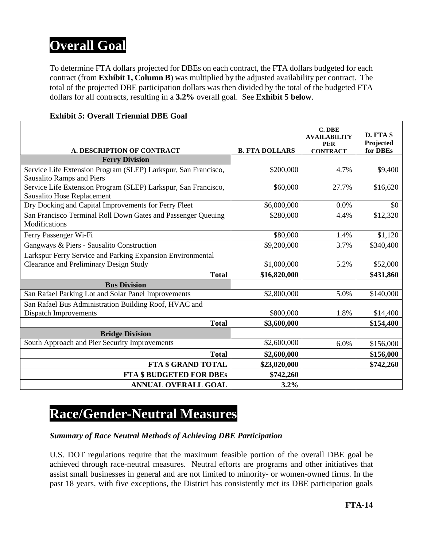# **Overall Goal**

To determine FTA dollars projected for DBEs on each contract, the FTA dollars budgeted for each contract (from **Exhibit 1, Column B**) was multiplied by the adjusted availability per contract. The total of the projected DBE participation dollars was then divided by the total of the budgeted FTA dollars for all contracts, resulting in a **3.2%** overall goal. See **Exhibit 5 below**.

|                                                                                                     |                       | C. DBE<br><b>AVAILABILITY</b><br><b>PER</b> | D. FTA \$<br>Projected |
|-----------------------------------------------------------------------------------------------------|-----------------------|---------------------------------------------|------------------------|
| A. DESCRIPTION OF CONTRACT                                                                          | <b>B. FTA DOLLARS</b> | <b>CONTRACT</b>                             | for DBEs               |
| <b>Ferry Division</b>                                                                               |                       |                                             |                        |
| Service Life Extension Program (SLEP) Larkspur, San Francisco,<br><b>Sausalito Ramps and Piers</b>  | \$200,000             | 4.7%                                        | \$9,400                |
| Service Life Extension Program (SLEP) Larkspur, San Francisco,<br><b>Sausalito Hose Replacement</b> | \$60,000              | 27.7%                                       | \$16,620               |
| Dry Docking and Capital Improvements for Ferry Fleet                                                | \$6,000,000           | 0.0%                                        | \$0                    |
| San Francisco Terminal Roll Down Gates and Passenger Queuing<br>Modifications                       | \$280,000             | 4.4%                                        | \$12,320               |
| Ferry Passenger Wi-Fi                                                                               | \$80,000              | 1.4%                                        | \$1,120                |
| Gangways & Piers - Sausalito Construction                                                           | \$9,200,000           | 3.7%                                        | \$340,400              |
| Larkspur Ferry Service and Parking Expansion Environmental                                          |                       |                                             |                        |
| <b>Clearance and Preliminary Design Study</b>                                                       | \$1,000,000           | 5.2%                                        | \$52,000               |
| <b>Total</b>                                                                                        | \$16,820,000          |                                             | \$431,860              |
| <b>Bus Division</b>                                                                                 |                       |                                             |                        |
| San Rafael Parking Lot and Solar Panel Improvements                                                 | \$2,800,000           | 5.0%                                        | \$140,000              |
| San Rafael Bus Administration Building Roof, HVAC and                                               |                       |                                             |                        |
| Dispatch Improvements                                                                               | \$800,000             | 1.8%                                        | \$14,400               |
| <b>Total</b>                                                                                        | \$3,600,000           |                                             | \$154,400              |
| <b>Bridge Division</b>                                                                              |                       |                                             |                        |
| South Approach and Pier Security Improvements                                                       | \$2,600,000           | 6.0%                                        | \$156,000              |
| <b>Total</b>                                                                                        | \$2,600,000           |                                             | \$156,000              |
| <b>FTA \$ GRAND TOTAL</b>                                                                           | \$23,020,000          |                                             | \$742,260              |
| <b>FTA \$ BUDGETED FOR DBEs</b>                                                                     | \$742,260             |                                             |                        |
| <b>ANNUAL OVERALL GOAL</b>                                                                          | 3.2%                  |                                             |                        |

### **Exhibit 5: Overall Triennial DBE Goal**

# **Race/Gender-Neutral Measures**

### *Summary of Race Neutral Methods of Achieving DBE Participation*

U.S. DOT regulations require that the maximum feasible portion of the overall DBE goal be achieved through race-neutral measures. Neutral efforts are programs and other initiatives that assist small businesses in general and are not limited to minority- or women-owned firms. In the past 18 years, with five exceptions, the District has consistently met its DBE participation goals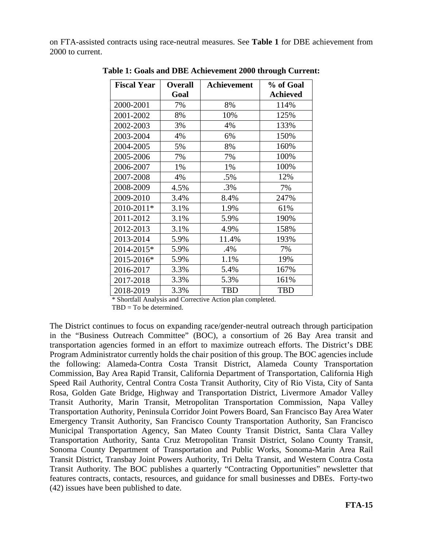on FTA-assisted contracts using race-neutral measures. See **Table 1** for DBE achievement from 2000 to current.

| <b>Fiscal Year</b> | <b>Overall</b> | <b>Achievement</b> | % of Goal       |
|--------------------|----------------|--------------------|-----------------|
|                    | Goal           |                    | <b>Achieved</b> |
| 2000-2001          | 7%             | 8%                 | 114%            |
| 2001-2002          | 8%             | 10%                | 125%            |
| 2002-2003          | 3%             | 4%                 | 133%            |
| 2003-2004          | 4%             | 6%                 | 150%            |
| 2004-2005          | 5%             | 8%                 | 160%            |
| 2005-2006          | 7%             | 7%                 | 100%            |
| 2006-2007          | 1%             | 1%                 | 100%            |
| 2007-2008          | 4%             | .5%                | 12%             |
| 2008-2009          | 4.5%           | .3%                | 7%              |
| 2009-2010          | 3.4%           | 8.4%               | 247%            |
| 2010-2011*         | 3.1%           | 1.9%               | 61%             |
| 2011-2012          | 3.1%           | 5.9%               | 190%            |
| 2012-2013          | 3.1%           | 4.9%               | 158%            |
| 2013-2014          | 5.9%           | 11.4%              | 193%            |
| 2014-2015*         | 5.9%           | .4%                | 7%              |
| 2015-2016*         | 5.9%           | 1.1%               | 19%             |
| 2016-2017          | 3.3%           | 5.4%               | 167%            |
| 2017-2018          | 3.3%           | 5.3%               | 161%            |
| 2018-2019          | 3.3%           | <b>TBD</b>         | <b>TBD</b>      |

**Table 1: Goals and DBE Achievement 2000 through Current:**

\* Shortfall Analysis and Corrective Action plan completed.

 $TBD = To be determined.$ 

The District continues to focus on expanding race/gender-neutral outreach through participation in the "Business Outreach Committee" (BOC), a consortium of 26 Bay Area transit and transportation agencies formed in an effort to maximize outreach efforts. The District's DBE Program Administrator currently holds the chair position of this group. The BOC agencies include the following: Alameda-Contra Costa Transit District, Alameda County Transportation Commission, Bay Area Rapid Transit, California Department of Transportation, California High Speed Rail Authority, Central Contra Costa Transit Authority, City of Rio Vista, City of Santa Rosa, Golden Gate Bridge, Highway and Transportation District, Livermore Amador Valley Transit Authority, Marin Transit, Metropolitan Transportation Commission, Napa Valley Transportation Authority, Peninsula Corridor Joint Powers Board, San Francisco Bay Area Water Emergency Transit Authority, San Francisco County Transportation Authority, San Francisco Municipal Transportation Agency, San Mateo County Transit District, Santa Clara Valley Transportation Authority, Santa Cruz Metropolitan Transit District, Solano County Transit, Sonoma County Department of Transportation and Public Works, Sonoma-Marin Area Rail Transit District, Transbay Joint Powers Authority, Tri Delta Transit, and Western Contra Costa Transit Authority. The BOC publishes a quarterly "Contracting Opportunities" newsletter that features contracts, contacts, resources, and guidance for small businesses and DBEs. Forty-two (42) issues have been published to date.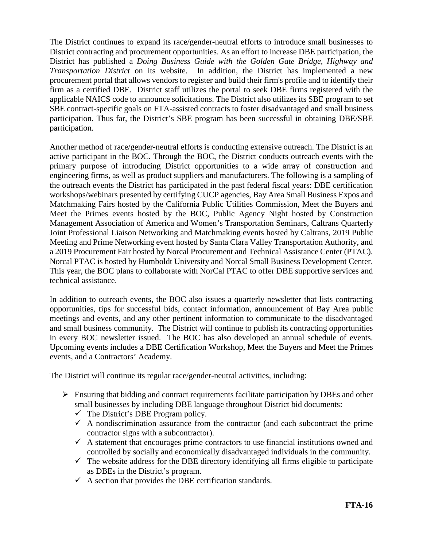The District continues to expand its race/gender-neutral efforts to introduce small businesses to District contracting and procurement opportunities. As an effort to increase DBE participation, the District has published a *Doing Business Guide with the Golden Gate Bridge, Highway and Transportation District* on its website. In addition, the District has implemented a new procurement portal that allows vendors to register and build their firm's profile and to identify their firm as a certified DBE. District staff utilizes the portal to seek DBE firms registered with the applicable NAICS code to announce solicitations. The District also utilizes its SBE program to set SBE contract-specific goals on FTA-assisted contracts to foster disadvantaged and small business participation. Thus far, the District's SBE program has been successful in obtaining DBE/SBE participation.

Another method of race/gender-neutral efforts is conducting extensive outreach. The District is an active participant in the BOC. Through the BOC, the District conducts outreach events with the primary purpose of introducing District opportunities to a wide array of construction and engineering firms, as well as product suppliers and manufacturers. The following is a sampling of the outreach events the District has participated in the past federal fiscal years: DBE certification workshops/webinars presented by certifying CUCP agencies, Bay Area Small Business Expos and Matchmaking Fairs hosted by the California Public Utilities Commission, Meet the Buyers and Meet the Primes events hosted by the BOC, Public Agency Night hosted by Construction Management Association of America and Women's Transportation Seminars, Caltrans Quarterly Joint Professional Liaison Networking and Matchmaking events hosted by Caltrans, 2019 Public Meeting and Prime Networking event hosted by Santa Clara Valley Transportation Authority, and a 2019 Procurement Fair hosted by Norcal Procurement and Technical Assistance Center (PTAC). Norcal PTAC is hosted by Humboldt University and Norcal Small Business Development Center. This year, the BOC plans to collaborate with NorCal PTAC to offer DBE supportive services and technical assistance.

In addition to outreach events, the BOC also issues a quarterly newsletter that lists contracting opportunities, tips for successful bids, contact information, announcement of Bay Area public meetings and events, and any other pertinent information to communicate to the disadvantaged and small business community. The District will continue to publish its contracting opportunities in every BOC newsletter issued. The BOC has also developed an annual schedule of events. Upcoming events includes a DBE Certification Workshop, Meet the Buyers and Meet the Primes events, and a Contractors' Academy.

The District will continue its regular race/gender-neutral activities, including:

- $\triangleright$  Ensuring that bidding and contract requirements facilitate participation by DBEs and other small businesses by including DBE language throughout District bid documents:
	- $\checkmark$  The District's DBE Program policy.
	- $\checkmark$  A nondiscrimination assurance from the contractor (and each subcontract the prime contractor signs with a subcontractor).
	- $\checkmark$  A statement that encourages prime contractors to use financial institutions owned and controlled by socially and economically disadvantaged individuals in the community.
	- $\checkmark$  The website address for the DBE directory identifying all firms eligible to participate as DBEs in the District's program.
	- $\checkmark$  A section that provides the DBE certification standards.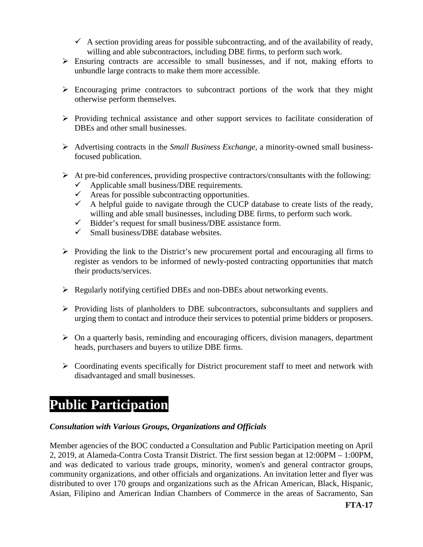- $\checkmark$  A section providing areas for possible subcontracting, and of the availability of ready, willing and able subcontractors, including DBE firms, to perform such work.
- $\triangleright$  Ensuring contracts are accessible to small businesses, and if not, making efforts to unbundle large contracts to make them more accessible.
- $\triangleright$  Encouraging prime contractors to subcontract portions of the work that they might otherwise perform themselves.
- $\triangleright$  Providing technical assistance and other support services to facilitate consideration of DBEs and other small businesses.
- Advertising contracts in the *Small Business Exchange*, a minority-owned small businessfocused publication.
- $\triangleright$  At pre-bid conferences, providing prospective contractors/consultants with the following:
	- $\checkmark$  Applicable small business/DBE requirements.
	- $\checkmark$  Areas for possible subcontracting opportunities.
	- $\checkmark$  A helpful guide to navigate through the CUCP database to create lists of the ready, willing and able small businesses, including DBE firms, to perform such work.
	- $\checkmark$  Bidder's request for small business/DBE assistance form.
	- $\checkmark$  Small business/DBE database websites.
- $\triangleright$  Providing the link to the District's new procurement portal and encouraging all firms to register as vendors to be informed of newly-posted contracting opportunities that match their products/services.
- Regularly notifying certified DBEs and non-DBEs about networking events.
- $\triangleright$  Providing lists of planholders to DBE subcontractors, subconsultants and suppliers and urging them to contact and introduce their services to potential prime bidders or proposers.
- $\triangleright$  On a quarterly basis, reminding and encouraging officers, division managers, department heads, purchasers and buyers to utilize DBE firms.
- Coordinating events specifically for District procurement staff to meet and network with disadvantaged and small businesses.

# **Public Participation**

#### *Consultation with Various Groups, Organizations and Officials*

Member agencies of the BOC conducted a Consultation and Public Participation meeting on April 2, 2019, at Alameda-Contra Costa Transit District. The first session began at 12:00PM – 1:00PM, and was dedicated to various trade groups, minority, women's and general contractor groups, community organizations, and other officials and organizations. An invitation letter and flyer was distributed to over 170 groups and organizations such as the African American, Black, Hispanic, Asian, Filipino and American Indian Chambers of Commerce in the areas of Sacramento, San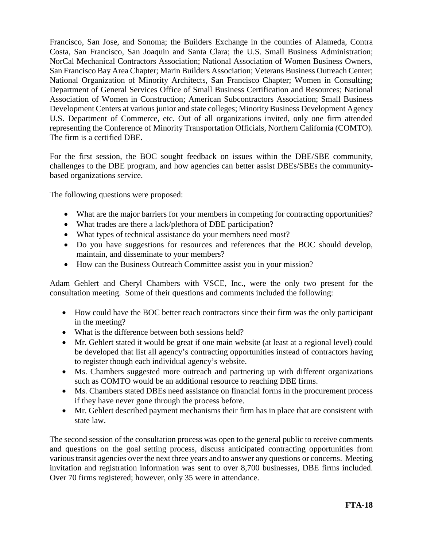Francisco, San Jose, and Sonoma; the Builders Exchange in the counties of Alameda, Contra Costa, San Francisco, San Joaquin and Santa Clara; the U.S. Small Business Administration; NorCal Mechanical Contractors Association; National Association of Women Business Owners, San Francisco Bay Area Chapter; Marin Builders Association; Veterans Business Outreach Center; National Organization of Minority Architects, San Francisco Chapter; Women in Consulting; Department of General Services Office of Small Business Certification and Resources; National Association of Women in Construction; American Subcontractors Association; Small Business Development Centers at various junior and state colleges; Minority Business Development Agency U.S. Department of Commerce, etc. Out of all organizations invited, only one firm attended representing the Conference of Minority Transportation Officials, Northern California (COMTO). The firm is a certified DBE.

For the first session, the BOC sought feedback on issues within the DBE/SBE community, challenges to the DBE program, and how agencies can better assist DBEs/SBEs the communitybased organizations service.

The following questions were proposed:

- What are the major barriers for your members in competing for contracting opportunities?
- What trades are there a lack/plethora of DBE participation?
- What types of technical assistance do your members need most?
- Do you have suggestions for resources and references that the BOC should develop, maintain, and disseminate to your members?
- How can the Business Outreach Committee assist you in your mission?

Adam Gehlert and Cheryl Chambers with VSCE, Inc., were the only two present for the consultation meeting. Some of their questions and comments included the following:

- How could have the BOC better reach contractors since their firm was the only participant in the meeting?
- What is the difference between both sessions held?
- Mr. Gehlert stated it would be great if one main website (at least at a regional level) could be developed that list all agency's contracting opportunities instead of contractors having to register though each individual agency's website.
- Ms. Chambers suggested more outreach and partnering up with different organizations such as COMTO would be an additional resource to reaching DBE firms.
- Ms. Chambers stated DBEs need assistance on financial forms in the procurement process if they have never gone through the process before.
- Mr. Gehlert described payment mechanisms their firm has in place that are consistent with state law.

The second session of the consultation process was open to the general public to receive comments and questions on the goal setting process, discuss anticipated contracting opportunities from various transit agencies over the next three years and to answer any questions or concerns. Meeting invitation and registration information was sent to over 8,700 businesses, DBE firms included. Over 70 firms registered; however, only 35 were in attendance.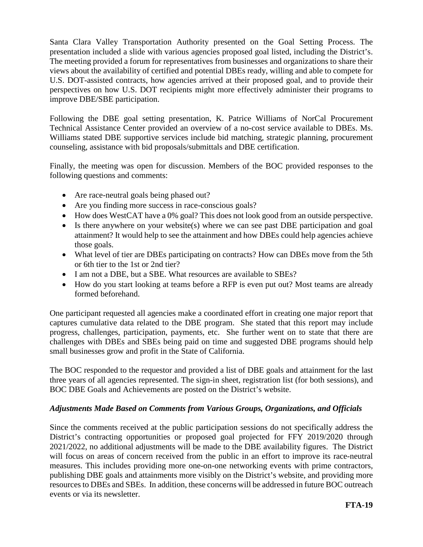Santa Clara Valley Transportation Authority presented on the Goal Setting Process. The presentation included a slide with various agencies proposed goal listed, including the District's. The meeting provided a forum for representatives from businesses and organizations to share their views about the availability of certified and potential DBEs ready, willing and able to compete for U.S. DOT-assisted contracts, how agencies arrived at their proposed goal, and to provide their perspectives on how U.S. DOT recipients might more effectively administer their programs to improve DBE/SBE participation.

Following the DBE goal setting presentation, K. Patrice Williams of NorCal Procurement Technical Assistance Center provided an overview of a no-cost service available to DBEs. Ms. Williams stated DBE supportive services include bid matching, strategic planning, procurement counseling, assistance with bid proposals/submittals and DBE certification.

Finally, the meeting was open for discussion. Members of the BOC provided responses to the following questions and comments:

- Are race-neutral goals being phased out?
- Are you finding more success in race-conscious goals?
- How does WestCAT have a 0% goal? This does not look good from an outside perspective.
- Is there anywhere on your website(s) where we can see past DBE participation and goal attainment? It would help to see the attainment and how DBEs could help agencies achieve those goals.
- What level of tier are DBEs participating on contracts? How can DBEs move from the 5th or 6th tier to the 1st or 2nd tier?
- I am not a DBE, but a SBE. What resources are available to SBEs?
- How do you start looking at teams before a RFP is even put out? Most teams are already formed beforehand.

One participant requested all agencies make a coordinated effort in creating one major report that captures cumulative data related to the DBE program. She stated that this report may include progress, challenges, participation, payments, etc. She further went on to state that there are challenges with DBEs and SBEs being paid on time and suggested DBE programs should help small businesses grow and profit in the State of California.

The BOC responded to the requestor and provided a list of DBE goals and attainment for the last three years of all agencies represented. The sign-in sheet, registration list (for both sessions), and BOC DBE Goals and Achievements are posted on the District's website.

#### *Adjustments Made Based on Comments from Various Groups, Organizations, and Officials*

Since the comments received at the public participation sessions do not specifically address the District's contracting opportunities or proposed goal projected for FFY 2019/2020 through 2021/2022, no additional adjustments will be made to the DBE availability figures. The District will focus on areas of concern received from the public in an effort to improve its race-neutral measures. This includes providing more one-on-one networking events with prime contractors, publishing DBE goals and attainments more visibly on the District's website, and providing more resources to DBEs and SBEs. In addition, these concerns will be addressed in future BOC outreach events or via its newsletter.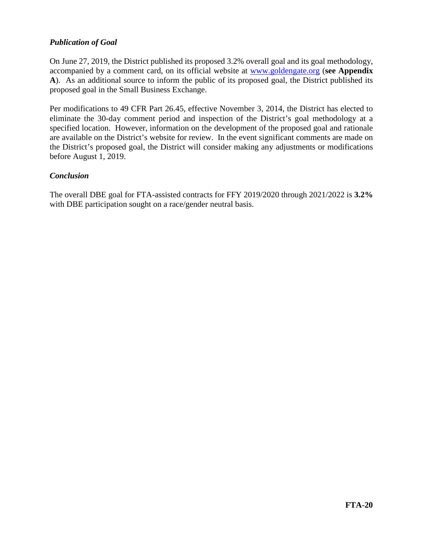#### *Publication of Goal*

On June 27, 2019, the District published its proposed 3.2% overall goal and its goal methodology, accompanied by a comment card, on its official website at [www.goldengate.org](http://www.goldengate.org/) (**see Appendix A**). As an additional source to inform the public of its proposed goal, the District published its proposed goal in the Small Business Exchange.

Per modifications to 49 CFR Part 26.45, effective November 3, 2014, the District has elected to eliminate the 30-day comment period and inspection of the District's goal methodology at a specified location. However, information on the development of the proposed goal and rationale are available on the District's website for review. In the event significant comments are made on the District's proposed goal, the District will consider making any adjustments or modifications before August 1, 2019.

#### *Conclusion*

The overall DBE goal for FTA-assisted contracts for FFY 2019/2020 through 2021/2022 is **3.2%** with DBE participation sought on a race/gender neutral basis.